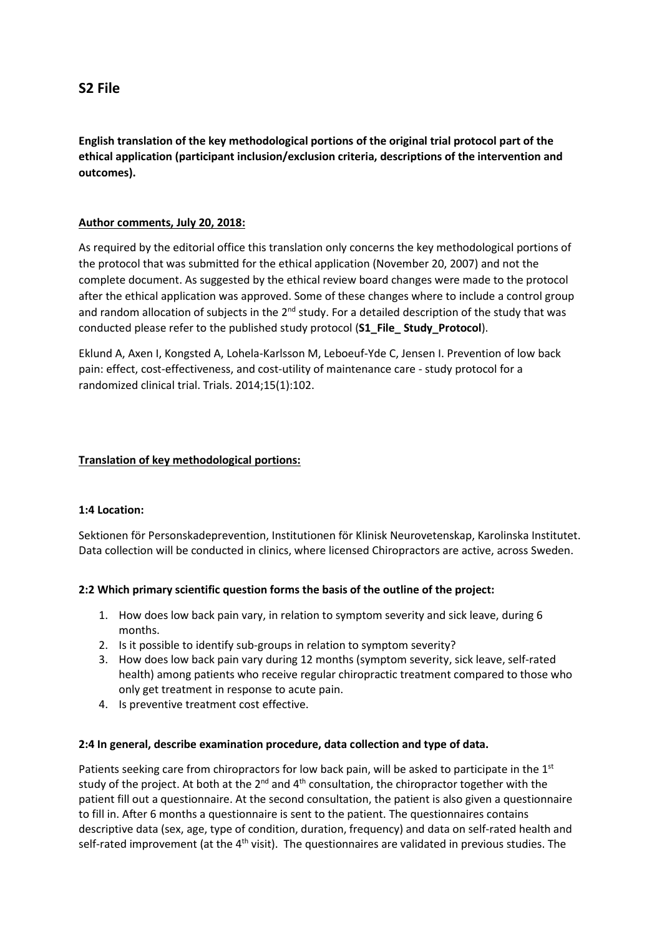**English translation of the key methodological portions of the original trial protocol part of the ethical application (participant inclusion/exclusion criteria, descriptions of the intervention and outcomes).**

# **Author comments, July 20, 2018:**

As required by the editorial office this translation only concerns the key methodological portions of the protocol that was submitted for the ethical application (November 20, 2007) and not the complete document. As suggested by the ethical review board changes were made to the protocol after the ethical application was approved. Some of these changes where to include a control group and random allocation of subjects in the 2<sup>nd</sup> study. For a detailed description of the study that was conducted please refer to the published study protocol (**S1\_File\_ Study\_Protocol**).

Eklund A, Axen I, Kongsted A, Lohela-Karlsson M, Leboeuf-Yde C, Jensen I. Prevention of low back pain: effect, cost-effectiveness, and cost-utility of maintenance care - study protocol for a randomized clinical trial. Trials. 2014;15(1):102.

# **Translation of key methodological portions:**

## **1:4 Location:**

Sektionen för Personskadeprevention, Institutionen för Klinisk Neurovetenskap, Karolinska Institutet. Data collection will be conducted in clinics, where licensed Chiropractors are active, across Sweden.

## **2:2 Which primary scientific question forms the basis of the outline of the project:**

- 1. How does low back pain vary, in relation to symptom severity and sick leave, during 6 months.
- 2. Is it possible to identify sub-groups in relation to symptom severity?
- 3. How does low back pain vary during 12 months (symptom severity, sick leave, self-rated health) among patients who receive regular chiropractic treatment compared to those who only get treatment in response to acute pain.
- 4. Is preventive treatment cost effective.

### **2:4 In general, describe examination procedure, data collection and type of data.**

Patients seeking care from chiropractors for low back pain, will be asked to participate in the 1st study of the project. At both at the 2<sup>nd</sup> and 4<sup>th</sup> consultation, the chiropractor together with the patient fill out a questionnaire. At the second consultation, the patient is also given a questionnaire to fill in. After 6 months a questionnaire is sent to the patient. The questionnaires contains descriptive data (sex, age, type of condition, duration, frequency) and data on self-rated health and self-rated improvement (at the  $4<sup>th</sup>$  visit). The questionnaires are validated in previous studies. The